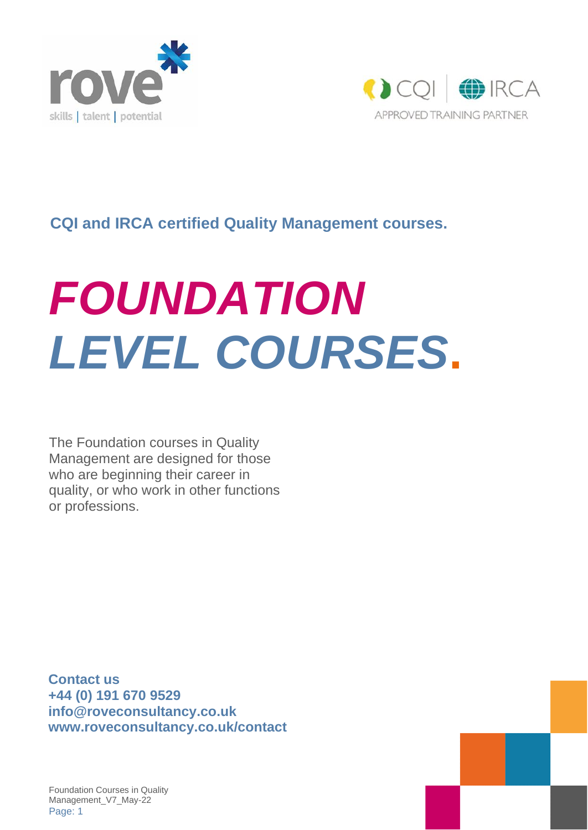



#### **CQI and IRCA certified Quality Management courses.**

# *FOUNDATION LEVEL COURSES***.**

The Foundation courses in Quality Management are designed for those who are beginning their career in quality, or who work in other functions or professions.

**Contact us +44 (0) 191 670 9529 [info@roveconsultancy.co.uk](mailto:info@roveconsultancy.co.uk) www.roveconsultancy.co.uk/contact**



Foundation Courses in Quality Management\_V7\_May-22 Page: 1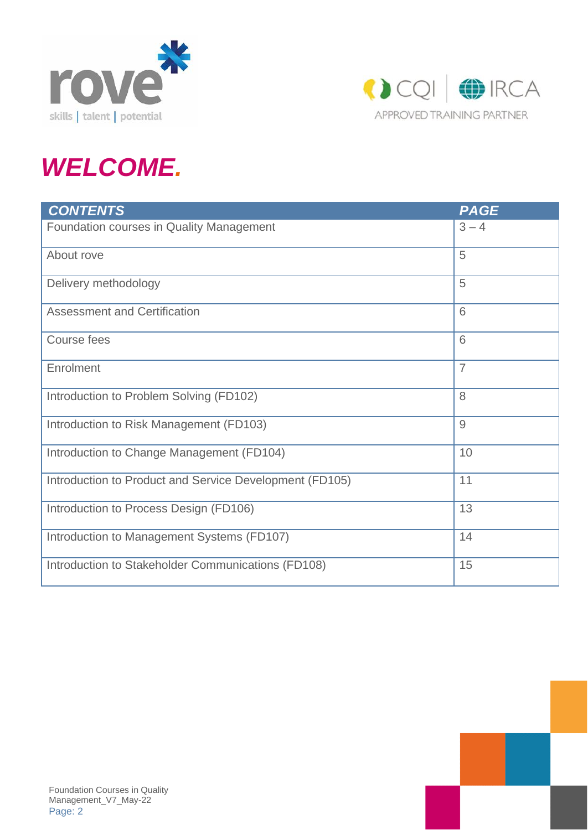



# *WELCOME.*

| <b>CONTENTS</b>                                         | <b>PAGE</b>    |
|---------------------------------------------------------|----------------|
| Foundation courses in Quality Management                | $3 - 4$        |
| About rove                                              | 5              |
| Delivery methodology                                    | 5              |
| <b>Assessment and Certification</b>                     | 6              |
| Course fees                                             | 6              |
| Enrolment                                               | $\overline{7}$ |
| Introduction to Problem Solving (FD102)                 | 8              |
| Introduction to Risk Management (FD103)                 | 9              |
| Introduction to Change Management (FD104)               | 10             |
| Introduction to Product and Service Development (FD105) | 11             |
| Introduction to Process Design (FD106)                  | 13             |
| Introduction to Management Systems (FD107)              | 14             |
| Introduction to Stakeholder Communications (FD108)      | 15             |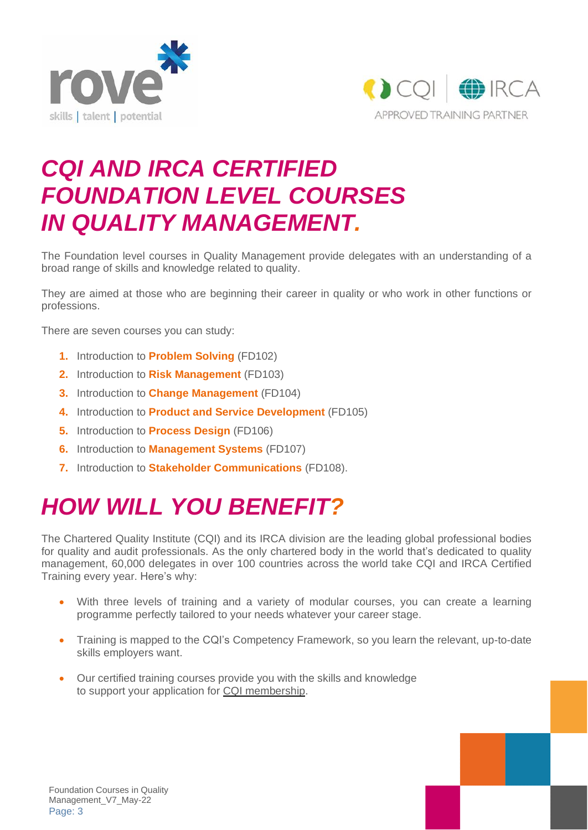



### *CQI AND IRCA CERTIFIED FOUNDATION LEVEL COURSES IN QUALITY MANAGEMENT.*

The Foundation level courses in Quality Management provide delegates with an understanding of a broad range of skills and knowledge related to quality.

They are aimed at those who are beginning their career in quality or who work in other functions or professions.

There are seven courses you can study:

- **1.** Introduction to **Problem Solving** (FD102)
- **2.** Introduction to **Risk Management** (FD103)
- **3.** Introduction to **Change Management** (FD104)
- **4.** Introduction to **Product and Service Development** (FD105)
- **5.** Introduction to **Process Design** (FD106)
- **6.** Introduction to **Management Systems** (FD107)
- **7.** Introduction to **Stakeholder Communications** (FD108).

### *HOW WILL YOU BENEFIT?*

The Chartered Quality Institute (CQI) and its IRCA division are the leading global professional bodies for quality and audit professionals. As the only chartered body in the world that's dedicated to quality management, 60,000 delegates in over 100 countries across the world take CQI and IRCA Certified Training every year. Here's why:

- With three levels of training and a variety of modular courses, you can create a learning programme perfectly tailored to your needs whatever your career stage.
- Training is mapped to the CQI's Competency Framework, so you learn the relevant, up-to-date skills employers want.
- Our certified training courses provide you with the skills and knowledge to support your application for CQI [membership.](https://www.quality.org/cqimembership-become-member)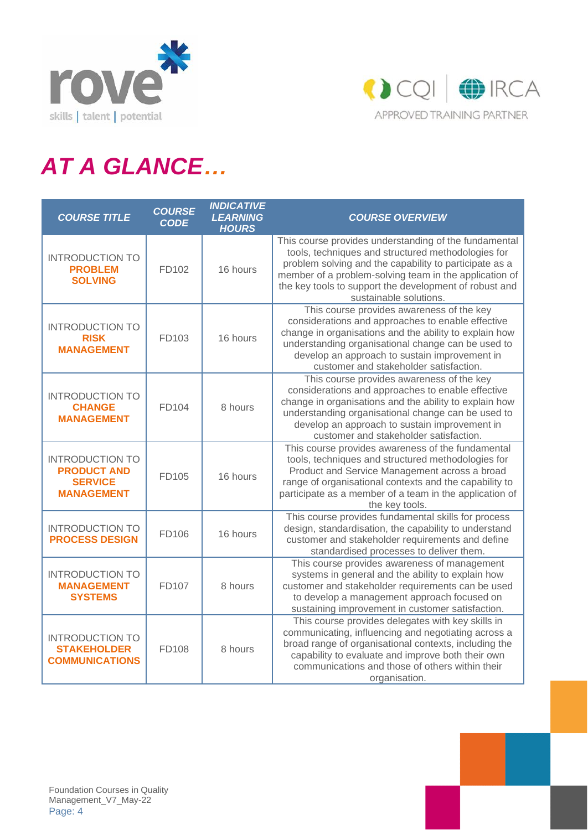



# *AT A GLANCE…*

| <b>COURSE TITLE</b>                                                                 | <b>COURSE</b><br><b>CODE</b> | <b>INDICATIVE</b><br><b>LEARNING</b><br><b>HOURS</b> | <b>COURSE OVERVIEW</b>                                                                                                                                                                                                                                                                                              |
|-------------------------------------------------------------------------------------|------------------------------|------------------------------------------------------|---------------------------------------------------------------------------------------------------------------------------------------------------------------------------------------------------------------------------------------------------------------------------------------------------------------------|
| <b>INTRODUCTION TO</b><br><b>PROBLEM</b><br><b>SOLVING</b>                          | FD102                        | 16 hours                                             | This course provides understanding of the fundamental<br>tools, techniques and structured methodologies for<br>problem solving and the capability to participate as a<br>member of a problem-solving team in the application of<br>the key tools to support the development of robust and<br>sustainable solutions. |
| <b>INTRODUCTION TO</b><br><b>RISK</b><br><b>MANAGEMENT</b>                          | FD103                        | 16 hours                                             | This course provides awareness of the key<br>considerations and approaches to enable effective<br>change in organisations and the ability to explain how<br>understanding organisational change can be used to<br>develop an approach to sustain improvement in<br>customer and stakeholder satisfaction.           |
| <b>INTRODUCTION TO</b><br><b>CHANGE</b><br><b>MANAGEMENT</b>                        | FD104                        | 8 hours                                              | This course provides awareness of the key<br>considerations and approaches to enable effective<br>change in organisations and the ability to explain how<br>understanding organisational change can be used to<br>develop an approach to sustain improvement in<br>customer and stakeholder satisfaction.           |
| <b>INTRODUCTION TO</b><br><b>PRODUCT AND</b><br><b>SERVICE</b><br><b>MANAGEMENT</b> | FD105                        | 16 hours                                             | This course provides awareness of the fundamental<br>tools, techniques and structured methodologies for<br>Product and Service Management across a broad<br>range of organisational contexts and the capability to<br>participate as a member of a team in the application of<br>the key tools.                     |
| <b>INTRODUCTION TO</b><br><b>PROCESS DESIGN</b>                                     | FD106                        | 16 hours                                             | This course provides fundamental skills for process<br>design, standardisation, the capability to understand<br>customer and stakeholder requirements and define<br>standardised processes to deliver them.                                                                                                         |
| <b>INTRODUCTION TO</b><br><b>MANAGEMENT</b><br><b>SYSTEMS</b>                       | FD107                        | 8 hours                                              | This course provides awareness of management<br>systems in general and the ability to explain how<br>customer and stakeholder requirements can be used<br>to develop a management approach focused on<br>sustaining improvement in customer satisfaction.                                                           |
| <b>INTRODUCTION TO</b><br><b>STAKEHOLDER</b><br><b>COMMUNICATIONS</b>               | FD108                        | 8 hours                                              | This course provides delegates with key skills in<br>communicating, influencing and negotiating across a<br>broad range of organisational contexts, including the<br>capability to evaluate and improve both their own<br>communications and those of others within their<br>organisation.                          |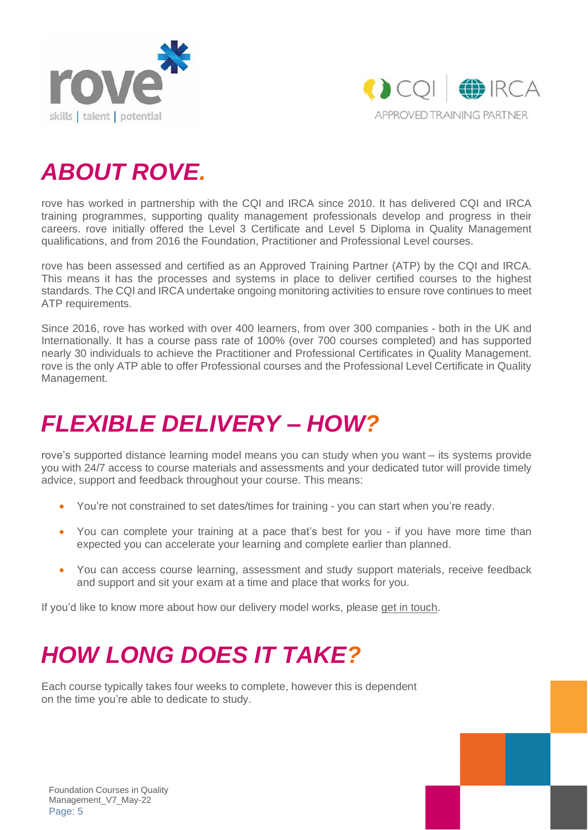



### *ABOUT ROVE.*

rove has worked in partnership with the CQI and IRCA since 2010. It has delivered CQI and IRCA training programmes, supporting quality management professionals develop and progress in their careers. rove initially offered the Level 3 Certificate and Level 5 Diploma in Quality Management qualifications, and from 2016 the Foundation, Practitioner and Professional Level courses.

rove has been assessed and certified as an Approved Training Partner (ATP) by the CQI and IRCA. This means it has the processes and systems in place to deliver certified courses to the highest standards. The CQI and IRCA undertake ongoing monitoring activities to ensure rove continues to meet ATP requirements.

Since 2016, rove has worked with over 400 learners, from over 300 companies - both in the UK and Internationally. It has a course pass rate of 100% (over 700 courses completed) and has supported nearly 30 individuals to achieve the Practitioner and Professional Certificates in Quality Management. rove is the only ATP able to offer Professional courses and the Professional Level Certificate in Quality Management.

### *FLEXIBLE DELIVERY – HOW?*

rove's supported distance learning model means you can study when you want – its systems provide you with 24/7 access to course materials and assessments and your dedicated tutor will provide timely advice, support and feedback throughout your course. This means:

- You're not constrained to set dates/times for training you can start when you're ready.
- You can complete your training at a pace that's best for you if you have more time than expected you can accelerate your learning and complete earlier than planned.
- You can access course learning, assessment and study support materials, receive feedback and support and sit your exam at a time and place that works for you.

If you'd like to know more about how our delivery model works, please get in [touch.](mailto:info@roveconsultancy.co.uk)

# *HOW LONG DOES IT TAKE?*

Each course typically takes four weeks to complete, however this is dependent on the time you're able to dedicate to study.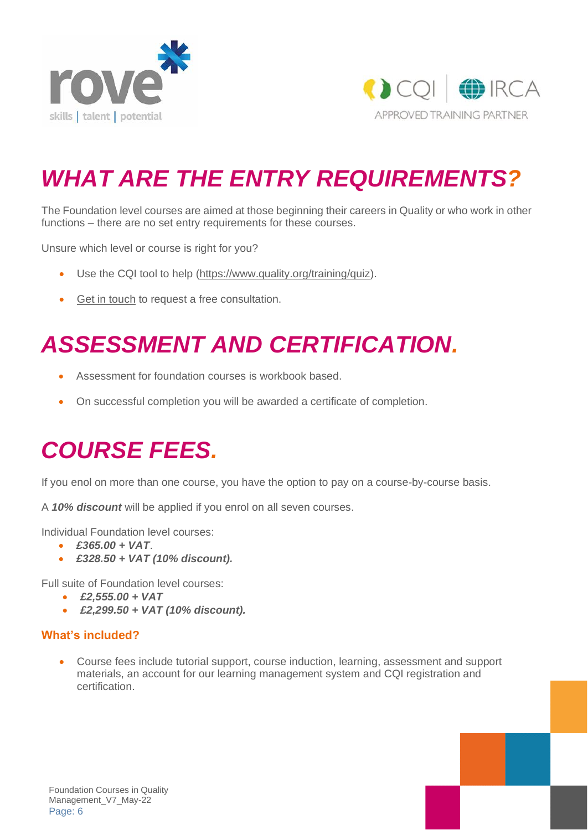



# *WHAT ARE THE ENTRY REQUIREMENTS?*

The Foundation level courses are aimed at those beginning their careers in Quality or who work in other functions – there are no set entry requirements for these courses.

Unsure which level or course is right for you?

- Use the CQI tool to help [\(https://www.quality.org/training/quiz\)](https://www.quality.org/training/quiz).
- Get in [touch](mailto:info@roveconsultancy.co.uk) to request a free consultation.

# *ASSESSMENT AND CERTIFICATION.*

- Assessment for foundation courses is workbook based.
- On successful completion you will be awarded a certificate of completion.

# *COURSE FEES.*

If you enol on more than one course, you have the option to pay on a course-by-course basis.

A *10% discount* will be applied if you enrol on all seven courses.

Individual Foundation level courses:

- *£365.00 + VAT*.
- *£328.50 + VAT (10% discount).*

Full suite of Foundation level courses:

- *£2,555.00 + VAT*
- *£2,299.50 + VAT (10% discount).*

#### **What's included?**

• Course fees include tutorial support, course induction, learning, assessment and support materials, an account for our learning management system and CQI registration and certification.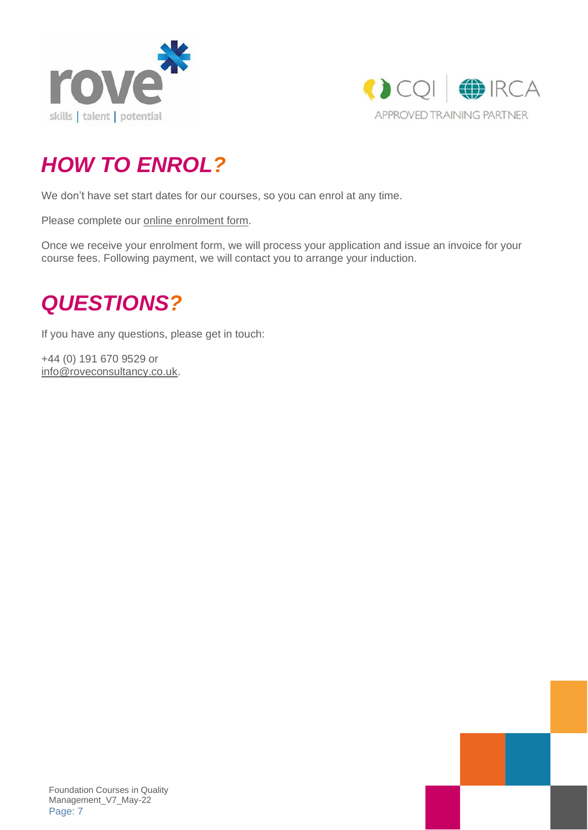



### *HOW TO ENROL?*

We don't have set start dates for our courses, so you can enrol at any time.

Please complete our online [enrolment](https://www.surveymonkey.co.uk/r/CQIEnrolmentForm) form.

Once we receive your enrolment form, we will process your application and issue an invoice for your course fees. Following payment, we will contact you to arrange your induction.

### *QUESTIONS?*

If you have any questions, please get in touch:

+44 (0) 191 670 9529 or [info@roveconsultancy.co.uk.](mailto:info@roveconsultancy.co.uk)

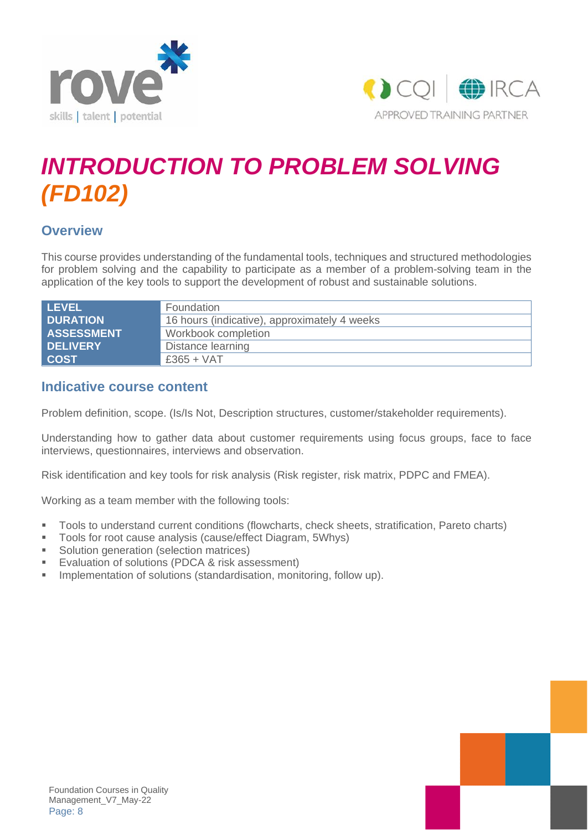



# *INTRODUCTION TO PROBLEM SOLVING (FD102)*

#### **Overview**

This course provides understanding of the fundamental tools, techniques and structured methodologies for problem solving and the capability to participate as a member of a problem-solving team in the application of the key tools to support the development of robust and sustainable solutions.

| <b>LEVEL</b>      | Foundation                                   |
|-------------------|----------------------------------------------|
| <b>DURATION</b>   | 16 hours (indicative), approximately 4 weeks |
| <b>ASSESSMENT</b> | Workbook completion                          |
| <b>DELIVERY</b>   | Distance learning                            |
| <b>COST</b>       | $£365 + VAT$                                 |

#### **Indicative course content**

Problem definition, scope. (Is/Is Not, Description structures, customer/stakeholder requirements).

Understanding how to gather data about customer requirements using focus groups, face to face interviews, questionnaires, interviews and observation.

Risk identification and key tools for risk analysis (Risk register, risk matrix, PDPC and FMEA).

Working as a team member with the following tools:

- Tools to understand current conditions (flowcharts, check sheets, stratification, Pareto charts)
- Tools for root cause analysis (cause/effect Diagram, 5Whys)
- Solution generation (selection matrices)
- Evaluation of solutions (PDCA & risk assessment)
- **E** Implementation of solutions (standardisation, monitoring, follow up).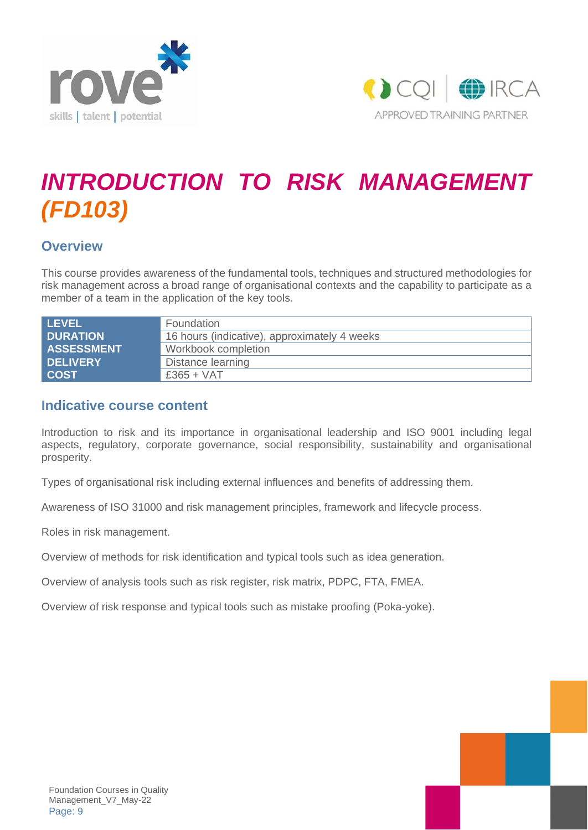



# *INTRODUCTION TO RISK MANAGEMENT (FD103)*

#### **Overview**

This course provides awareness of the fundamental tools, techniques and structured methodologies for risk management across a broad range of organisational contexts and the capability to participate as a member of a team in the application of the key tools.

| <b>LEVEL</b>      | Foundation                                   |
|-------------------|----------------------------------------------|
| <b>DURATION</b>   | 16 hours (indicative), approximately 4 weeks |
| <b>ASSESSMENT</b> | Workbook completion                          |
| <b>DELIVERY</b>   | Distance learning                            |
| <b>COST</b>       | $£365 + VAT$                                 |

#### **Indicative course content**

Introduction to risk and its importance in organisational leadership and ISO 9001 including legal aspects, regulatory, corporate governance, social responsibility, sustainability and organisational prosperity.

Types of organisational risk including external influences and benefits of addressing them.

Awareness of ISO 31000 and risk management principles, framework and lifecycle process.

Roles in risk management.

Overview of methods for risk identification and typical tools such as idea generation.

Overview of analysis tools such as risk register, risk matrix, PDPC, FTA, FMEA.

Overview of risk response and typical tools such as mistake proofing (Poka-yoke).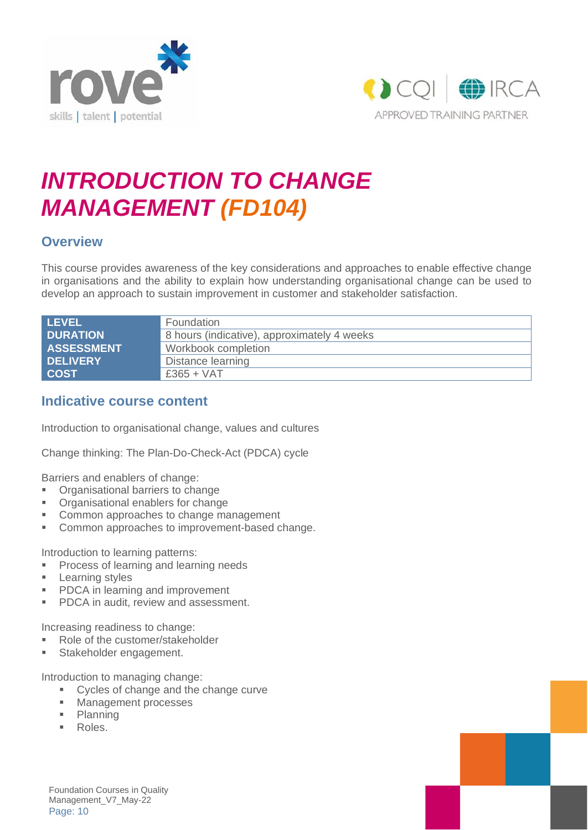



### *INTRODUCTION TO CHANGE MANAGEMENT (FD104)*

#### **Overview**

This course provides awareness of the key considerations and approaches to enable effective change in organisations and the ability to explain how understanding organisational change can be used to develop an approach to sustain improvement in customer and stakeholder satisfaction.

| <b>LEVEL</b>      | Foundation                                  |
|-------------------|---------------------------------------------|
| <b>DURATION</b>   | 8 hours (indicative), approximately 4 weeks |
| <b>ASSESSMENT</b> | Workbook completion                         |
| <b>DELIVERY</b>   | Distance learning                           |
| <b>COST</b>       | $£365 + VAT$                                |

#### **Indicative course content**

Introduction to organisational change, values and cultures

Change thinking: The Plan-Do-Check-Act (PDCA) cycle

Barriers and enablers of change:

- Organisational barriers to change
- Organisational enablers for change
- Common approaches to change management
- Common approaches to improvement-based change.

Introduction to learning patterns:

- **Process of learning and learning needs**
- Learning styles
- PDCA in learning and improvement
- PDCA in audit, review and assessment.

Increasing readiness to change:

- Role of the customer/stakeholder
- **■** Stakeholder engagement.

Introduction to managing change:

- Cycles of change and the change curve
- Management processes
- Planning
- Roles.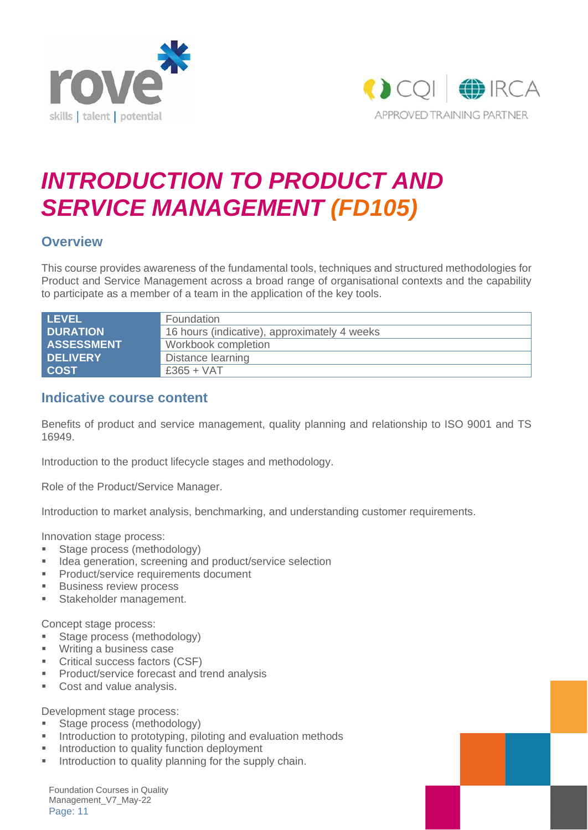



### *INTRODUCTION TO PRODUCT AND SERVICE MANAGEMENT (FD105)*

#### **Overview**

This course provides awareness of the fundamental tools, techniques and structured methodologies for Product and Service Management across a broad range of organisational contexts and the capability to participate as a member of a team in the application of the key tools.

| <b>LEVEL</b>      | Foundation                                   |
|-------------------|----------------------------------------------|
| <b>DURATION</b>   | 16 hours (indicative), approximately 4 weeks |
| <b>ASSESSMENT</b> | Workbook completion                          |
| <b>DELIVERY</b>   | Distance learning                            |
| <b>COST</b>       | $£365 + VAT$                                 |

#### **Indicative course content**

Benefits of product and service management, quality planning and relationship to ISO 9001 and TS 16949.

Introduction to the product lifecycle stages and methodology.

Role of the Product/Service Manager.

Introduction to market analysis, benchmarking, and understanding customer requirements.

Innovation stage process:

- **EXECUTE:** Stage process (methodology)
- Idea generation, screening and product/service selection
- **•** Product/service requirements document
- Business review process
- **■** Stakeholder management.

Concept stage process:

- Stage process (methodology)
- Writing a business case
- Critical success factors (CSF)
- Product/service forecast and trend analysis
- Cost and value analysis.

Development stage process:

- **EXECUTE:** Stage process (methodology)
- Introduction to prototyping, piloting and evaluation methods
- **■** Introduction to quality function deployment
- Introduction to quality planning for the supply chain.

Foundation Courses in Quality Management\_V7\_May-22 Page: 11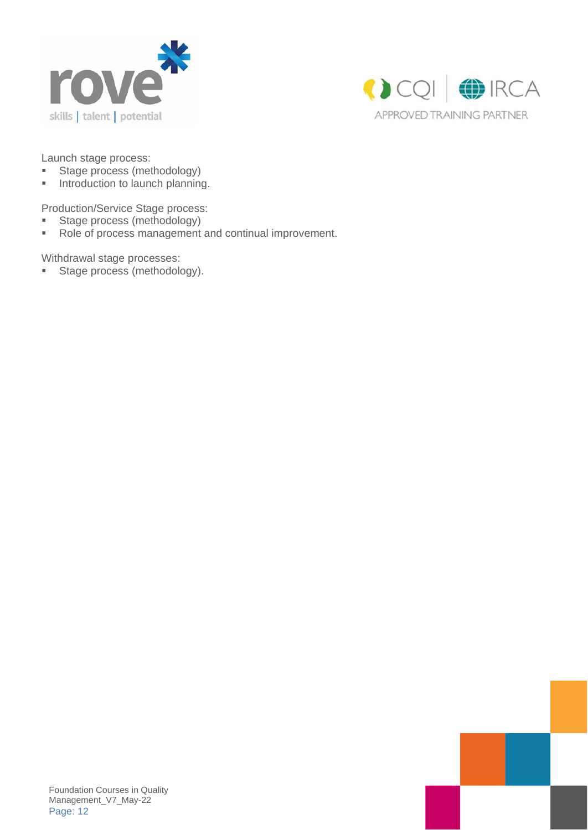



Launch stage process:

- Stage process (methodology)
- **■** Introduction to launch planning.

Production/Service Stage process:

- Stage process (methodology)
- Role of process management and continual improvement.

Withdrawal stage processes:

■ Stage process (methodology).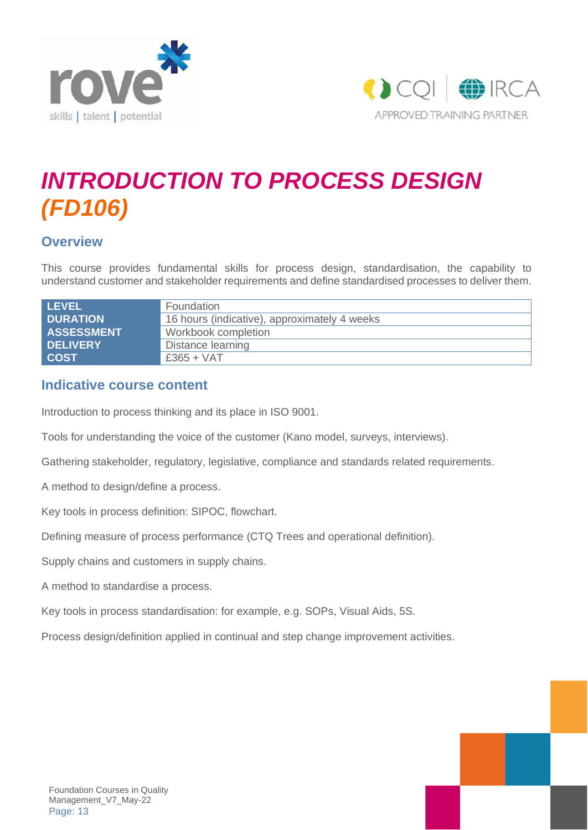



### *INTRODUCTION TO PROCESS DESIGN (FD106)*

#### **Overview**

This course provides fundamental skills for process design, standardisation, the capability to understand customer and stakeholder requirements and define standardised processes to deliver them.

| <b>LEVEL</b>      | Foundation                                   |
|-------------------|----------------------------------------------|
| <b>DURATION</b>   | 16 hours (indicative), approximately 4 weeks |
| <b>ASSESSMENT</b> | Workbook completion                          |
| <b>DELIVERY</b>   | Distance learning                            |
| <b>COST</b>       | $£365 + VAT$                                 |

#### **Indicative course content**

Introduction to process thinking and its place in ISO 9001.

Tools for understanding the voice of the customer (Kano model, surveys, interviews).

Gathering stakeholder, regulatory, legislative, compliance and standards related requirements.

A method to design/define a process.

Key tools in process definition: SIPOC, flowchart.

Defining measure of process performance (CTQ Trees and operational definition).

Supply chains and customers in supply chains.

A method to standardise a process.

Key tools in process standardisation: for example, e.g. SOPs, Visual Aids, 5S.

Process design/definition applied in continual and step change improvement activities.

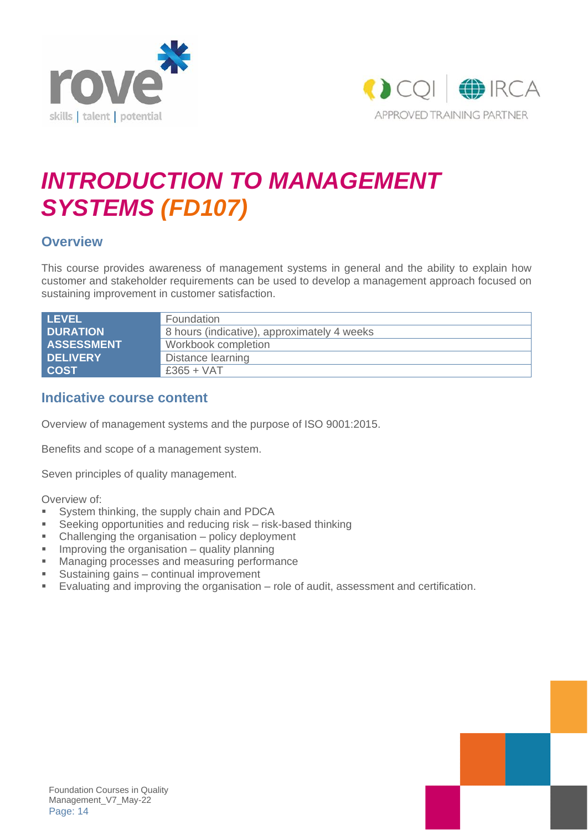



### *INTRODUCTION TO MANAGEMENT SYSTEMS (FD107)*

#### **Overview**

This course provides awareness of management systems in general and the ability to explain how customer and stakeholder requirements can be used to develop a management approach focused on sustaining improvement in customer satisfaction.

| <b>LEVEL</b>      | Foundation                                  |
|-------------------|---------------------------------------------|
| <b>DURATION</b>   | 8 hours (indicative), approximately 4 weeks |
| <b>ASSESSMENT</b> | Workbook completion                         |
| <b>DELIVERY</b>   | Distance learning                           |
| <b>COST</b>       | $£365 + VAT$                                |

#### **Indicative course content**

Overview of management systems and the purpose of ISO 9001:2015.

Benefits and scope of a management system.

Seven principles of quality management.

Overview of:

- System thinking, the supply chain and PDCA
- Seeking opportunities and reducing risk risk-based thinking
- Challenging the organisation policy deployment
- **■** Improving the organisation quality planning
- Managing processes and measuring performance
- Sustaining gains continual improvement
- Evaluating and improving the organisation role of audit, assessment and certification.